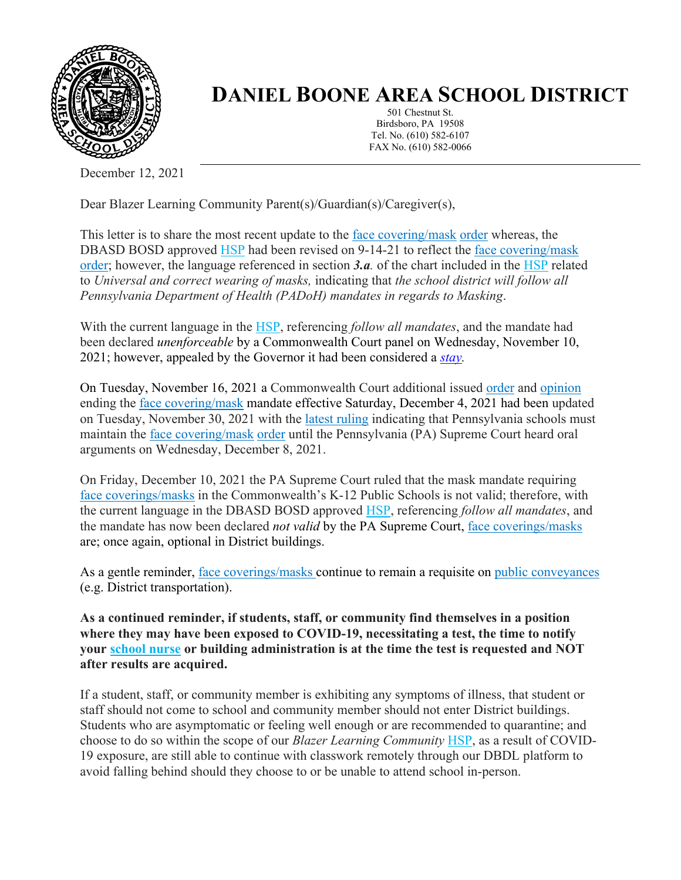

## **DANIEL BOONE AREA SCHOOL DISTRICT**

501 Chestnut St. Birdsboro, PA 19508 Tel. No. (610) 582-6107 FAX No. (610) 582-0066

December 12, 2021

Dear Blazer Learning Community Parent(s)/Guardian(s)/Caregiver(s),

This letter is to share the most recent update to the [face covering/mask](https://www.cdc.gov/coronavirus/2019-ncov/prevent-getting-sick/cloth-face-cover-guidance.html) [order](https://www.health.pa.gov/topics/Documents/Diseases%20and%20Conditions/Order%20of%20the%20Acting%20Secretary%20Directing%20Face%20Coverings%20in%20Schools.pdf) whereas, the DBASD BOSD approved [HSP](https://www.dboone.org/Page/516) had been revised on 9-14-21 to reflect the [face covering/mask](https://www.cdc.gov/coronavirus/2019-ncov/prevent-getting-sick/cloth-face-cover-guidance.html) [order;](https://www.health.pa.gov/topics/Documents/Diseases%20and%20Conditions/Order%20of%20the%20Acting%20Secretary%20Directing%20Face%20Coverings%20in%20Schools.pdf) however, the language referenced in section *3.a.* of the chart included in the [HSP](https://www.dboone.org/Page/516) related to *Universal and correct wearing of masks,* indicating that *the school district will follow all Pennsylvania Department of Health (PADoH) mandates in regards to Masking*.

With the current language in the [HSP,](https://www.dboone.org/Page/516) referencing *follow all mandates*, and the mandate had been declared *unenforceable* by a Commonwealth Court panel on Wednesday, November 10, 2021; however, appealed by the Governor it had been considered a *[stay.](https://www.law.cornell.edu/wex/stay_of_proceedings#:~:text=A%20ruling%20by%20a%20court,proceedings%20in%20the%20court%20below)*

On Tuesday, November 16, 2021 a Commonwealth Court additional issued [order](https://www.pacourts.us/Storage/media/pdfs/20211116/214536-294md21stayorder.pdf) and [opinion](https://www.pacourts.us/Storage/media/pdfs/20211116/214246-294md21stay.pdf) ending the [face covering/mask](https://www.cdc.gov/coronavirus/2019-ncov/prevent-getting-sick/cloth-face-cover-guidance.html) mandate effective Saturday, December 4, 2021 had been updated on Tuesday, November 30, 2021 with the [latest ruling](https://www.pacourts.us/Storage/media/pdfs/20211130/164911-nov.30,2021-order.pdf) indicating that Pennsylvania schools must maintain the [face covering/mask](https://www.cdc.gov/coronavirus/2019-ncov/prevent-getting-sick/cloth-face-cover-guidance.html) [order](https://www.health.pa.gov/topics/Documents/Diseases%20and%20Conditions/Order%20of%20the%20Acting%20Secretary%20Directing%20Face%20Coverings%20in%20Schools.pdf) until the Pennsylvania (PA) Supreme Court heard oral arguments on Wednesday, December 8, 2021.

On Friday, December 10, 2021 the PA Supreme Court ruled that the mask mandate requiring [face coverings/masks](https://www.cdc.gov/coronavirus/2019-ncov/prevent-getting-sick/cloth-face-cover-guidance.html) in the Commonwealth's K-12 Public Schools is not valid; therefore, with the current language in the DBASD BOSD approved [HSP,](https://www.dboone.org/Page/516) referencing *follow all mandates*, and the mandate has now been declared *not valid* by the PA Supreme Court, [face coverings/masks](https://www.cdc.gov/coronavirus/2019-ncov/prevent-getting-sick/cloth-face-cover-guidance.html) are; once again, optional in District buildings.

As a gentle reminder, [face coverings/masks](https://www.cdc.gov/coronavirus/2019-ncov/prevent-getting-sick/cloth-face-cover-guidance.html) continue to remain a requisite on [public conveyances](https://www.cdc.gov/coronavirus/2019-ncov/travelers/face-masks-public-transportation.html)  (e.g. District transportation).

**As a continued reminder, if students, staff, or community find themselves in a position where they may have been exposed to COVID-19, necessitating a test, the time to notify your [school nurse](https://www.dboone.org/Page/484) or building administration is at the time the test is requested and NOT after results are acquired.**

If a student, staff, or community member is exhibiting any symptoms of illness, that student or staff should not come to school and community member should not enter District buildings. Students who are asymptomatic or feeling well enough or are recommended to quarantine; and choose to do so within the scope of our *Blazer Learning Community* [HSP,](https://www.dboone.org/Page/516) as a result of COVID-19 exposure, are still able to continue with classwork remotely through our DBDL platform to avoid falling behind should they choose to or be unable to attend school in-person.